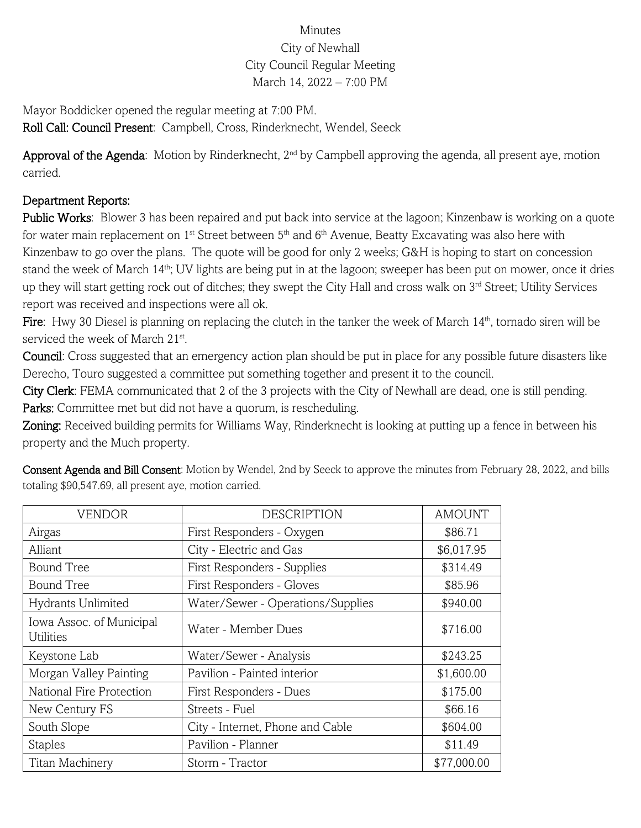## Minutes City of Newhall City Council Regular Meeting March 14, 2022 – 7:00 PM

Mayor Boddicker opened the regular meeting at 7:00 PM. Roll Call: Council Present: Campbell, Cross, Rinderknecht, Wendel, Seeck

Approval of the Agenda: Motion by Rinderknecht, 2<sup>nd</sup> by Campbell approving the agenda, all present aye, motion carried.

## Department Reports:

Public Works: Blower 3 has been repaired and put back into service at the lagoon; Kinzenbaw is working on a quote for water main replacement on  $1^{st}$  Street between  $5^{th}$  and  $6^{th}$  Avenue, Beatty Excavating was also here with Kinzenbaw to go over the plans. The quote will be good for only 2 weeks; G&H is hoping to start on concession stand the week of March 14<sup>th</sup>; UV lights are being put in at the lagoon; sweeper has been put on mower, once it dries up they will start getting rock out of ditches; they swept the City Hall and cross walk on 3<sup>rd</sup> Street; Utility Services report was received and inspections were all ok.

Fire: Hwy 30 Diesel is planning on replacing the clutch in the tanker the week of March  $14<sup>th</sup>$ , tornado siren will be serviced the week of March 21<sup>st</sup>.

Council: Cross suggested that an emergency action plan should be put in place for any possible future disasters like Derecho, Touro suggested a committee put something together and present it to the council.

City Clerk: FEMA communicated that 2 of the 3 projects with the City of Newhall are dead, one is still pending. Parks: Committee met but did not have a quorum, is rescheduling.

Zoning: Received building permits for Williams Way, Rinderknecht is looking at putting up a fence in between his property and the Much property.

| <b>VENDOR</b>                                | <b>DESCRIPTION</b>                | <b>AMOUNT</b> |
|----------------------------------------------|-----------------------------------|---------------|
| Airgas                                       | First Responders - Oxygen         | \$86.71       |
| Alliant                                      | City - Electric and Gas           | \$6,017.95    |
| <b>Bound Tree</b>                            | First Responders - Supplies       | \$314.49      |
| <b>Bound Tree</b>                            | First Responders - Gloves         | \$85.96       |
| Hydrants Unlimited                           | Water/Sewer - Operations/Supplies | \$940.00      |
| Iowa Assoc. of Municipal<br><b>Utilities</b> | Water - Member Dues               | \$716.00      |
| Keystone Lab                                 | Water/Sewer - Analysis            | \$243.25      |
| Morgan Valley Painting                       | Pavilion - Painted interior       | \$1,600.00    |
| National Fire Protection                     | First Responders - Dues           | \$175.00      |
| New Century FS                               | Streets - Fuel                    | \$66.16       |
| South Slope                                  | City - Internet, Phone and Cable  | \$604.00      |
| <b>Staples</b>                               | Pavilion - Planner                | \$11.49       |
| Titan Machinery                              | Storm - Tractor                   | \$77,000.00   |

Consent Agenda and Bill Consent: Motion by Wendel, 2nd by Seeck to approve the minutes from February 28, 2022, and bills totaling \$90,547.69, all present aye, motion carried.